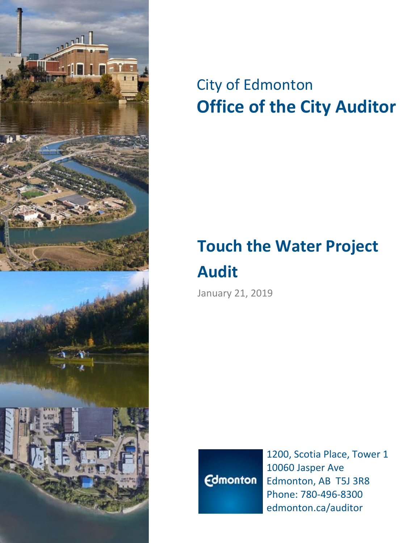

# City of Edmonton **Office of the City Auditor**

# **Touch the Water Project Audit**

January 21, 2019



1200, Scotia Place, Tower 1 10060 Jasper Ave Edmonton, AB T5J 3R8 Phone: 780-496-8300 edmonton.ca/auditor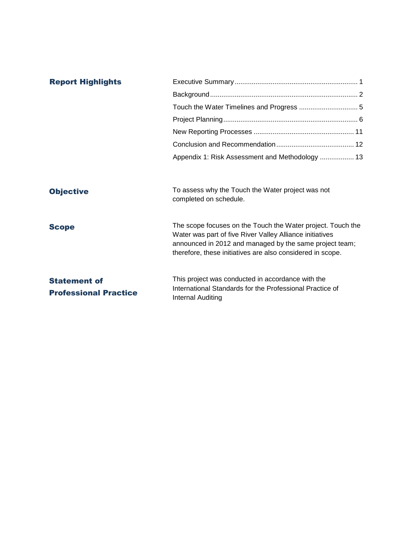| <b>Report Highlights</b>                            |                                                                                                                                                                                                                                                  |  |  |
|-----------------------------------------------------|--------------------------------------------------------------------------------------------------------------------------------------------------------------------------------------------------------------------------------------------------|--|--|
|                                                     |                                                                                                                                                                                                                                                  |  |  |
|                                                     |                                                                                                                                                                                                                                                  |  |  |
|                                                     |                                                                                                                                                                                                                                                  |  |  |
|                                                     |                                                                                                                                                                                                                                                  |  |  |
|                                                     |                                                                                                                                                                                                                                                  |  |  |
|                                                     | Appendix 1: Risk Assessment and Methodology  13                                                                                                                                                                                                  |  |  |
|                                                     |                                                                                                                                                                                                                                                  |  |  |
| <b>Objective</b>                                    | To assess why the Touch the Water project was not<br>completed on schedule.                                                                                                                                                                      |  |  |
| <b>Scope</b>                                        | The scope focuses on the Touch the Water project. Touch the<br>Water was part of five River Valley Alliance initiatives<br>announced in 2012 and managed by the same project team;<br>therefore, these initiatives are also considered in scope. |  |  |
| <b>Statement of</b><br><b>Professional Practice</b> | This project was conducted in accordance with the<br>International Standards for the Professional Practice of<br><b>Internal Auditing</b>                                                                                                        |  |  |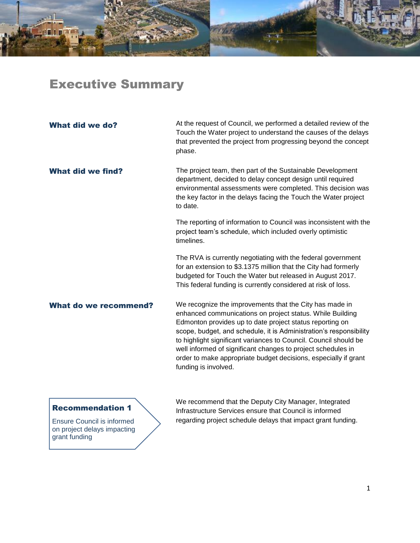## Executive Summary

| <b>What did we do?</b>       | At the request of Council, we performed a detailed review of the<br>Touch the Water project to understand the causes of the delays<br>that prevented the project from progressing beyond the concept<br>phase.                                                                                                                                                                                                                                                                        |
|------------------------------|---------------------------------------------------------------------------------------------------------------------------------------------------------------------------------------------------------------------------------------------------------------------------------------------------------------------------------------------------------------------------------------------------------------------------------------------------------------------------------------|
| <b>What did we find?</b>     | The project team, then part of the Sustainable Development<br>department, decided to delay concept design until required<br>environmental assessments were completed. This decision was<br>the key factor in the delays facing the Touch the Water project<br>to date.                                                                                                                                                                                                                |
|                              | The reporting of information to Council was inconsistent with the<br>project team's schedule, which included overly optimistic<br>timelines.                                                                                                                                                                                                                                                                                                                                          |
|                              | The RVA is currently negotiating with the federal government<br>for an extension to \$3.1375 million that the City had formerly<br>budgeted for Touch the Water but released in August 2017.<br>This federal funding is currently considered at risk of loss.                                                                                                                                                                                                                         |
| <b>What do we recommend?</b> | We recognize the improvements that the City has made in<br>enhanced communications on project status. While Building<br>Edmonton provides up to date project status reporting on<br>scope, budget, and schedule, it is Administration's responsibility<br>to highlight significant variances to Council. Council should be<br>well informed of significant changes to project schedules in<br>order to make appropriate budget decisions, especially if grant<br>funding is involved. |

### Recommendation 1

Ensure Council is informed on project delays impacting grant funding

We recommend that the Deputy City Manager, Integrated Infrastructure Services ensure that Council is informed regarding project schedule delays that impact grant funding.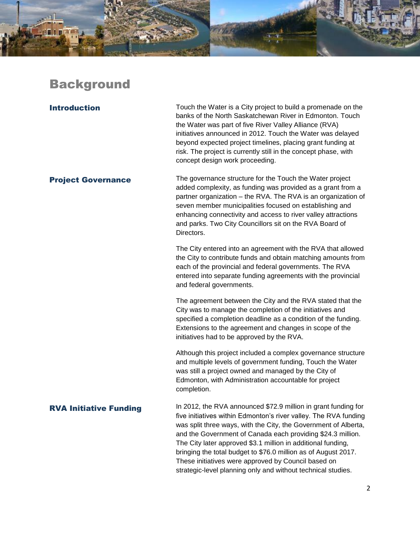## **Background**

**Introduction** Touch the Water is a City project to build a promenade on the banks of the North Saskatchewan River in Edmonton. Touch the Water was part of five River Valley Alliance (RVA) initiatives announced in 2012. Touch the Water was delayed beyond expected project timelines, placing grant funding at risk. The project is currently still in the concept phase, with concept design work proceeding.

**Project Governance** The governance structure for the Touch the Water project added complexity, as funding was provided as a grant from a partner organization – the RVA. The RVA is an organization of seven member municipalities focused on establishing and enhancing connectivity and access to river valley attractions and parks. Two City Councillors sit on the RVA Board of Directors.

> The City entered into an agreement with the RVA that allowed the City to contribute funds and obtain matching amounts from each of the provincial and federal governments. The RVA entered into separate funding agreements with the provincial and federal governments.

The agreement between the City and the RVA stated that the City was to manage the completion of the initiatives and specified a completion deadline as a condition of the funding. Extensions to the agreement and changes in scope of the initiatives had to be approved by the RVA.

Although this project included a complex governance structure and multiple levels of government funding, Touch the Water was still a project owned and managed by the City of Edmonton, with Administration accountable for project completion.

**RVA Initiative Funding** In 2012, the RVA announced \$72.9 million in grant funding for five initiatives within Edmonton's river valley. The RVA funding was split three ways, with the City, the Government of Alberta, and the Government of Canada each providing \$24.3 million. The City later approved \$3.1 million in additional funding, bringing the total budget to \$76.0 million as of August 2017. These initiatives were approved by Council based on strategic-level planning only and without technical studies.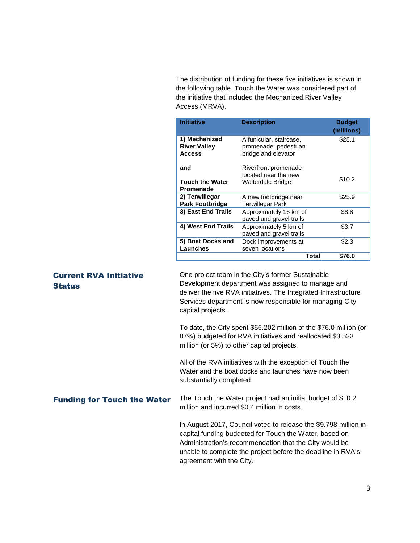The distribution of funding for these five initiatives is shown in the following table. Touch the Water was considered part of the initiative that included the Mechanized River Valley Access (MRVA).

| <b>Initiative</b>                                     | <b>Description</b>                                                      |       | <b>Budget</b><br>(millions) |
|-------------------------------------------------------|-------------------------------------------------------------------------|-------|-----------------------------|
| 1) Mechanized<br><b>River Valley</b><br><b>Access</b> | A funicular, staircase,<br>promenade, pedestrian<br>bridge and elevator |       | \$25.1                      |
| and<br><b>Touch the Water</b><br>Promenade            | Riverfront promenade<br>located near the new<br>Walterdale Bridge       |       | \$10.2                      |
| 2) Terwillegar<br><b>Park Footbridge</b>              | A new footbridge near<br><b>Terwillegar Park</b>                        |       | \$25.9                      |
| 3) East End Trails                                    | Approximately 16 km of<br>paved and gravel trails                       |       | \$8.8                       |
| 4) West End Trails                                    | Approximately 5 km of<br>paved and gravel trails                        |       | \$3.7                       |
| 5) Boat Docks and<br>Launches                         | Dock improvements at<br>seven locations                                 |       | \$2.3                       |
|                                                       |                                                                         | Total | \$76.0                      |

### Current RVA Initiative **Status**

One project team in the City's former Sustainable Development department was assigned to manage and deliver the five RVA initiatives. The Integrated Infrastructure Services department is now responsible for managing City capital projects.

To date, the City spent \$66.202 million of the \$76.0 million (or 87%) budgeted for RVA initiatives and reallocated \$3.523 million (or 5%) to other capital projects.

All of the RVA initiatives with the exception of Touch the Water and the boat docks and launches have now been substantially completed.

Funding for Touch the Water The Touch the Water project had an initial budget of \$10.2 million and incurred \$0.4 million in costs.

> In August 2017, Council voted to release the \$9.798 million in capital funding budgeted for Touch the Water, based on Administration's recommendation that the City would be unable to complete the project before the deadline in RVA's agreement with the City.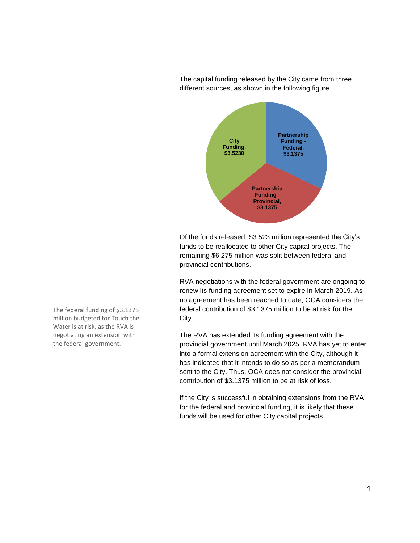



Of the funds released, \$3.523 million represented the City's funds to be reallocated to other City capital projects. The remaining \$6.275 million was split between federal and provincial contributions.

RVA negotiations with the federal government are ongoing to renew its funding agreement set to expire in March 2019. As no agreement has been reached to date, OCA considers the federal contribution of \$3.1375 million to be at risk for the City.

The RVA has extended its funding agreement with the provincial government until March 2025. RVA has yet to enter into a formal extension agreement with the City, although it has indicated that it intends to do so as per a memorandum sent to the City. Thus, OCA does not consider the provincial contribution of \$3.1375 million to be at risk of loss.

If the City is successful in obtaining extensions from the RVA for the federal and provincial funding, it is likely that these funds will be used for other City capital projects.

The federal funding of \$3.1375 million budgeted for Touch the Water is at risk, as the RVA is negotiating an extension with the federal government.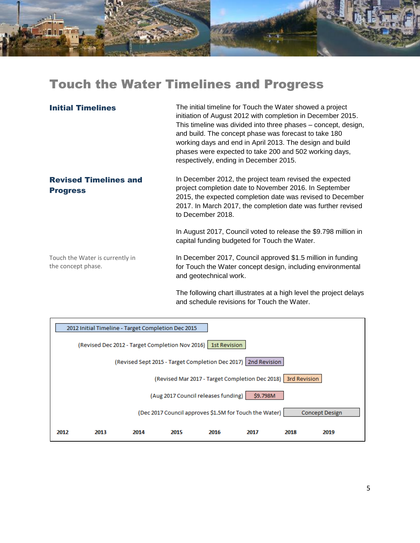## Touch the Water Timelines and Progress

| <b>Initial Timelines</b>                              | The initial timeline for Touch the Water showed a project<br>initiation of August 2012 with completion in December 2015.<br>This timeline was divided into three phases – concept, design,<br>and build. The concept phase was forecast to take 180<br>working days and end in April 2013. The design and build<br>phases were expected to take 200 and 502 working days,<br>respectively, ending in December 2015. |
|-------------------------------------------------------|---------------------------------------------------------------------------------------------------------------------------------------------------------------------------------------------------------------------------------------------------------------------------------------------------------------------------------------------------------------------------------------------------------------------|
| <b>Revised Timelines and</b><br><b>Progress</b>       | In December 2012, the project team revised the expected<br>project completion date to November 2016. In September<br>2015, the expected completion date was revised to December<br>2017. In March 2017, the completion date was further revised<br>to December 2018.                                                                                                                                                |
|                                                       | In August 2017, Council voted to release the \$9.798 million in<br>capital funding budgeted for Touch the Water.                                                                                                                                                                                                                                                                                                    |
| Touch the Water is currently in<br>the concept phase. | In December 2017, Council approved \$1.5 million in funding<br>for Touch the Water concept design, including environmental<br>and geotechnical work.                                                                                                                                                                                                                                                                |

The following chart illustrates at a high level the project delays and schedule revisions for Touch the Water.

|      | 2012 Initial Timeline - Target Completion Dec 2015 |      |                                                                |      |                                                                 |      |                       |
|------|----------------------------------------------------|------|----------------------------------------------------------------|------|-----------------------------------------------------------------|------|-----------------------|
|      |                                                    |      | (Revised Dec 2012 - Target Completion Nov 2016)   1st Revision |      |                                                                 |      |                       |
|      |                                                    |      |                                                                |      | (Revised Sept 2015 - Target Completion Dec 2017)   2nd Revision |      |                       |
|      |                                                    |      |                                                                |      | (Revised Mar 2017 - Target Completion Dec 2018) 3rd Revision    |      |                       |
|      |                                                    |      | (Aug 2017 Council releases funding)                            |      | \$9.798M                                                        |      |                       |
|      |                                                    |      |                                                                |      | (Dec 2017 Council approves \$1.5M for Touch the Water)          |      | <b>Concept Design</b> |
| 2012 | 2013                                               | 2014 | 2015                                                           | 2016 | 2017                                                            | 2018 | 2019                  |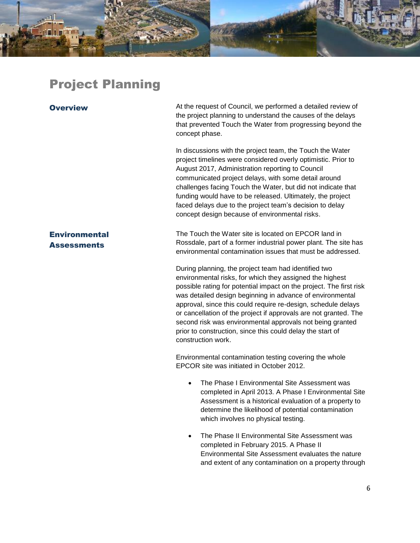## Project Planning

Overview At the request of Council, we performed a detailed review of the project planning to understand the causes of the delays that prevented Touch the Water from progressing beyond the concept phase.

> In discussions with the project team, the Touch the Water project timelines were considered overly optimistic. Prior to August 2017, Administration reporting to Council communicated project delays, with some detail around challenges facing Touch the Water, but did not indicate that funding would have to be released. Ultimately, the project faced delays due to the project team's decision to delay concept design because of environmental risks.

The Touch the Water site is located on EPCOR land in Rossdale, part of a former industrial power plant. The site has environmental contamination issues that must be addressed.

During planning, the project team had identified two environmental risks, for which they assigned the highest possible rating for potential impact on the project. The first risk was detailed design beginning in advance of environmental approval, since this could require re-design, schedule delays or cancellation of the project if approvals are not granted. The second risk was environmental approvals not being granted prior to construction, since this could delay the start of construction work.

Environmental contamination testing covering the whole EPCOR site was initiated in October 2012.

- The Phase I Environmental Site Assessment was completed in April 2013. A Phase I Environmental Site Assessment is a historical evaluation of a property to determine the likelihood of potential contamination which involves no physical testing.
- The Phase II Environmental Site Assessment was completed in February 2015. A Phase II Environmental Site Assessment evaluates the nature and extent of any contamination on a property through

**Assessments** 

**Environmental**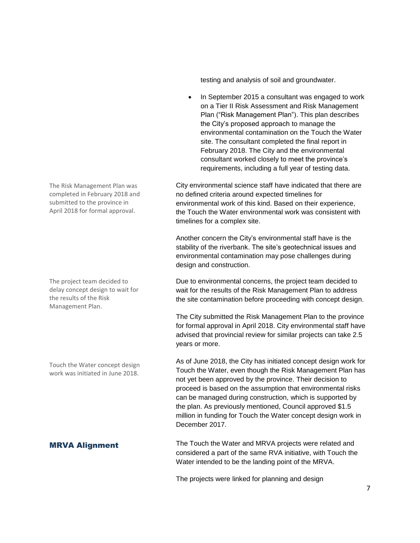testing and analysis of soil and groundwater.

• In September 2015 a consultant was engaged to work on a Tier II Risk Assessment and Risk Management Plan ("Risk Management Plan"). This plan describes the City's proposed approach to manage the environmental contamination on the Touch the Water site. The consultant completed the final report in February 2018. The City and the environmental consultant worked closely to meet the province's requirements, including a full year of testing data.

City environmental science staff have indicated that there are no defined criteria around expected timelines for environmental work of this kind. Based on their experience, the Touch the Water environmental work was consistent with timelines for a complex site.

Another concern the City's environmental staff have is the stability of the riverbank. The site's geotechnical issues and environmental contamination may pose challenges during design and construction.

Due to environmental concerns, the project team decided to wait for the results of the Risk Management Plan to address the site contamination before proceeding with concept design.

The City submitted the Risk Management Plan to the province for formal approval in April 2018. City environmental staff have advised that provincial review for similar projects can take 2.5 years or more.

As of June 2018, the City has initiated concept design work for Touch the Water, even though the Risk Management Plan has not yet been approved by the province. Their decision to proceed is based on the assumption that environmental risks can be managed during construction, which is supported by the plan. As previously mentioned, Council approved \$1.5 million in funding for Touch the Water concept design work in December 2017.

**MRVA Alignment** The Touch the Water and MRVA projects were related and considered a part of the same RVA initiative, with Touch the Water intended to be the landing point of the MRVA.

The projects were linked for planning and design

The Risk Management Plan was completed in February 2018 and submitted to the province in April 2018 for formal approval.

The project team decided to delay concept design to wait for the results of the Risk Management Plan.

Touch the Water concept design work was initiated in June 2018.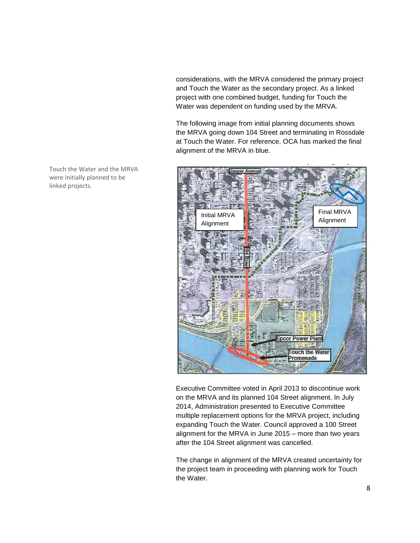considerations, with the MRVA considered the primary project and Touch the Water as the secondary project. As a linked project with one combined budget, funding for Touch the Water was dependent on funding used by the MRVA.

The following image from initial planning documents shows the MRVA going down 104 Street and terminating in Rossdale at Touch the Water. For reference, OCA has marked the final alignment of the MRVA in blue.



Executive Committee voted in April 2013 to discontinue work on the MRVA and its planned 104 Street alignment. In July 2014, Administration presented to Executive Committee multiple replacement options for the MRVA project, including expanding Touch the Water. Council approved a 100 Street alignment for the MRVA in June 2015 – more than two years after the 104 Street alignment was cancelled.

The change in alignment of the MRVA created uncertainty for the project team in proceeding with planning work for Touch the Water.

Touch the Water and the MRVA were initially planned to be linked projects.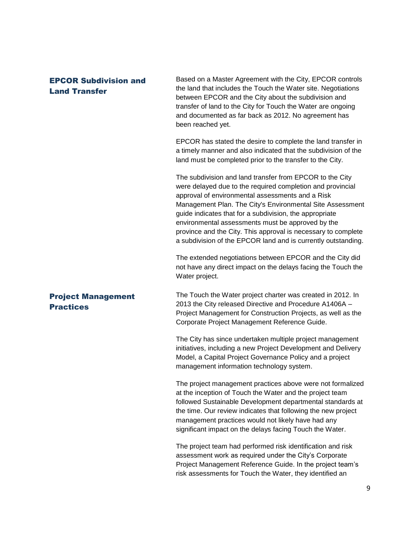### EPCOR Subdivision and Land Transfer

Based on a Master Agreement with the City, EPCOR controls the land that includes the Touch the Water site. Negotiations between EPCOR and the City about the subdivision and transfer of land to the City for Touch the Water are ongoing and documented as far back as 2012. No agreement has been reached yet.

EPCOR has stated the desire to complete the land transfer in a timely manner and also indicated that the subdivision of the land must be completed prior to the transfer to the City.

The subdivision and land transfer from EPCOR to the City were delayed due to the required completion and provincial approval of environmental assessments and a Risk Management Plan. The City's Environmental Site Assessment guide indicates that for a subdivision, the appropriate environmental assessments must be approved by the province and the City. This approval is necessary to complete a subdivision of the EPCOR land and is currently outstanding.

The extended negotiations between EPCOR and the City did not have any direct impact on the delays facing the Touch the Water project.

### Project Management **Practices**

The Touch the Water project charter was created in 2012. In 2013 the City released Directive and Procedure A1406A – Project Management for Construction Projects, as well as the Corporate Project Management Reference Guide.

The City has since undertaken multiple project management initiatives, including a new Project Development and Delivery Model, a Capital Project Governance Policy and a project management information technology system.

The project management practices above were not formalized at the inception of Touch the Water and the project team followed Sustainable Development departmental standards at the time. Our review indicates that following the new project management practices would not likely have had any significant impact on the delays facing Touch the Water.

The project team had performed risk identification and risk assessment work as required under the City's Corporate Project Management Reference Guide. In the project team's risk assessments for Touch the Water, they identified an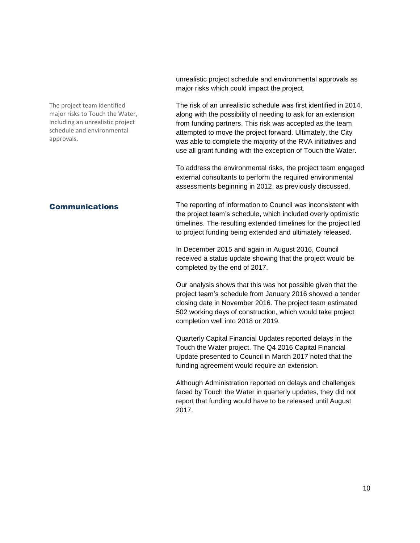The project team identified major risks to Touch the Water, including an unrealistic project schedule and environmental approvals.

unrealistic project schedule and environmental approvals as major risks which could impact the project.

The risk of an unrealistic schedule was first identified in 2014, along with the possibility of needing to ask for an extension from funding partners. This risk was accepted as the team attempted to move the project forward. Ultimately, the City was able to complete the majority of the RVA initiatives and use all grant funding with the exception of Touch the Water.

To address the environmental risks, the project team engaged external consultants to perform the required environmental assessments beginning in 2012, as previously discussed.

**Communications** The reporting of information to Council was inconsistent with the project team's schedule, which included overly optimistic timelines. The resulting extended timelines for the project led to project funding being extended and ultimately released.

> In December 2015 and again in August 2016, Council received a status update showing that the project would be completed by the end of 2017.

Our analysis shows that this was not possible given that the project team's schedule from January 2016 showed a tender closing date in November 2016. The project team estimated 502 working days of construction, which would take project completion well into 2018 or 2019.

Quarterly Capital Financial Updates reported delays in the Touch the Water project. The Q4 2016 Capital Financial Update presented to Council in March 2017 noted that the funding agreement would require an extension.

Although Administration reported on delays and challenges faced by Touch the Water in quarterly updates, they did not report that funding would have to be released until August 2017.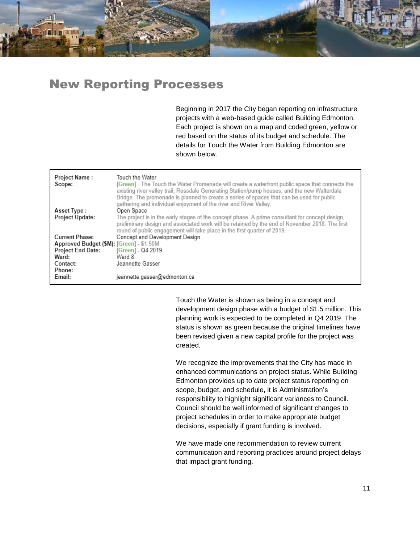

## New Reporting Processes

Beginning in 2017 the City began reporting on infrastructure projects with a web-based guide called Building Edmonton. Each project is shown on a map and coded green, yellow or red based on the status of its budget and schedule. The details for Touch the Water from Building Edmonton are shown below.

| Project Name:<br>Scope:                  | Touch the Water<br>[Green] - The Touch the Water Promenade will create a waterfront public space that connects the<br>existing river valley trail, Rossdale Generating Station/pump houses, and the new Walterdale<br>Bridge. The promenade is planned to create a series of spaces that can be used for public<br>gathering and individual enjoyment of the river and River Valley. |
|------------------------------------------|--------------------------------------------------------------------------------------------------------------------------------------------------------------------------------------------------------------------------------------------------------------------------------------------------------------------------------------------------------------------------------------|
| Asset Type:                              | Open Space                                                                                                                                                                                                                                                                                                                                                                           |
| <b>Project Update:</b>                   | The project is in the early stages of the concept phase. A prime consultant for concept design,<br>preliminary design and associated work will be retained by the end of November 2018. The first<br>round of public engagement will take place in the first quarter of 2019.                                                                                                        |
| Current Phase:                           | Concept and Development Design                                                                                                                                                                                                                                                                                                                                                       |
| Approved Budget (\$M): [Green] - \$1.50M |                                                                                                                                                                                                                                                                                                                                                                                      |
| <b>Project End Date:</b>                 | [Green] - Q4 2019                                                                                                                                                                                                                                                                                                                                                                    |
| Ward:                                    | Ward 8                                                                                                                                                                                                                                                                                                                                                                               |
| Contact:                                 | Jeannette Gasser                                                                                                                                                                                                                                                                                                                                                                     |
| Phone:                                   |                                                                                                                                                                                                                                                                                                                                                                                      |
| Email:                                   | jeannette.gasser@edmonton.ca                                                                                                                                                                                                                                                                                                                                                         |

Touch the Water is shown as being in a concept and development design phase with a budget of \$1.5 million. This planning work is expected to be completed in Q4 2019. The status is shown as green because the original timelines have been revised given a new capital profile for the project was created.

We recognize the improvements that the City has made in enhanced communications on project status. While Building Edmonton provides up to date project status reporting on scope, budget, and schedule, it is Administration's responsibility to highlight significant variances to Council. Council should be well informed of significant changes to project schedules in order to make appropriate budget decisions, especially if grant funding is involved.

We have made one recommendation to review current communication and reporting practices around project delays that impact grant funding.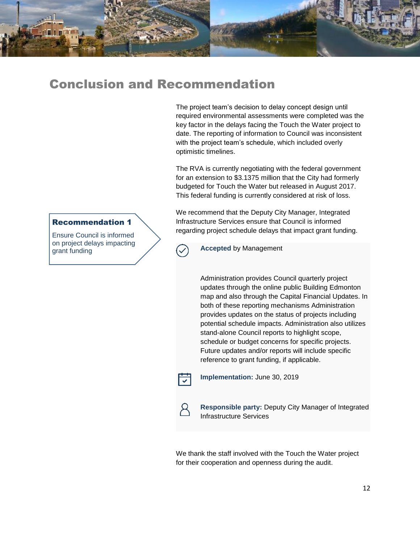

The project team's decision to delay concept design until required environmental assessments were completed was the key factor in the delays facing the Touch the Water project to date. The reporting of information to Council was inconsistent with the project team's schedule, which included overly optimistic timelines.

The RVA is currently negotiating with the federal government for an extension to \$3.1375 million that the City had formerly budgeted for Touch the Water but released in August 2017. This federal funding is currently considered at risk of loss.

We recommend that the Deputy City Manager, Integrated Infrastructure Services ensure that Council is informed regarding project schedule delays that impact grant funding.

### Recommendation 1

Ensure Council is informed on project delays impacting grant funding

**Accepted** by Management

Administration provides Council quarterly project updates through the online public Building Edmonton map and also through the Capital Financial Updates. In both of these reporting mechanisms Administration provides updates on the status of projects including potential schedule impacts. Administration also utilizes stand-alone Council reports to highlight scope, schedule or budget concerns for specific projects. Future updates and/or reports will include specific reference to grant funding, if applicable.



**Implementation:** June 30, 2019



**Responsible party:** Deputy City Manager of Integrated Infrastructure Services

We thank the staff involved with the Touch the Water project for their cooperation and openness during the audit.